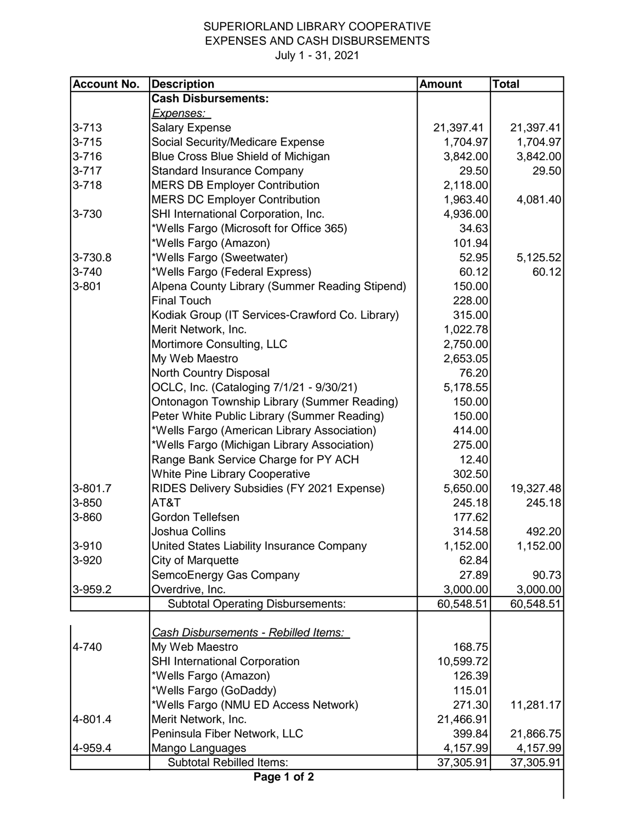## SUPERIORLAND LIBRARY COOPERATIVE EXPENSES AND CASH DISBURSEMENTS

July 1 - 31, 2021

| <b>Account No.</b> | <b>Description</b>                              | <b>Amount</b> | <b>Total</b> |  |
|--------------------|-------------------------------------------------|---------------|--------------|--|
|                    | <b>Cash Disbursements:</b>                      |               |              |  |
|                    | <u>Expenses: </u>                               |               |              |  |
| $3 - 713$          | <b>Salary Expense</b>                           | 21,397.41     | 21,397.41    |  |
| $3 - 715$          | Social Security/Medicare Expense                | 1,704.97      | 1,704.97     |  |
| $3 - 716$          | Blue Cross Blue Shield of Michigan              | 3,842.00      | 3,842.00     |  |
| $3 - 717$          | <b>Standard Insurance Company</b>               | 29.50         | 29.50        |  |
| $3 - 718$          | <b>MERS DB Employer Contribution</b>            | 2,118.00      |              |  |
|                    | <b>MERS DC Employer Contribution</b>            | 1,963.40      | 4,081.40     |  |
| 3-730              | SHI International Corporation, Inc.             | 4,936.00      |              |  |
|                    | *Wells Fargo (Microsoft for Office 365)         | 34.63         |              |  |
|                    | *Wells Fargo (Amazon)                           | 101.94        |              |  |
| 3-730.8            | *Wells Fargo (Sweetwater)                       | 52.95         | 5,125.52     |  |
| 3-740              | *Wells Fargo (Federal Express)                  | 60.12         | 60.12        |  |
| $3 - 801$          | Alpena County Library (Summer Reading Stipend)  | 150.00        |              |  |
|                    | <b>Final Touch</b>                              | 228.00        |              |  |
|                    | Kodiak Group (IT Services-Crawford Co. Library) | 315.00        |              |  |
|                    | Merit Network, Inc.                             | 1,022.78      |              |  |
|                    | Mortimore Consulting, LLC                       | 2,750.00      |              |  |
|                    | My Web Maestro                                  | 2,653.05      |              |  |
|                    | North Country Disposal                          | 76.20         |              |  |
|                    | OCLC, Inc. (Cataloging 7/1/21 - 9/30/21)        | 5,178.55      |              |  |
|                    | Ontonagon Township Library (Summer Reading)     | 150.00        |              |  |
|                    | Peter White Public Library (Summer Reading)     | 150.00        |              |  |
|                    | *Wells Fargo (American Library Association)     | 414.00        |              |  |
|                    | *Wells Fargo (Michigan Library Association)     | 275.00        |              |  |
|                    | Range Bank Service Charge for PY ACH            | 12.40         |              |  |
|                    | <b>White Pine Library Cooperative</b>           | 302.50        |              |  |
| $3 - 801.7$        | RIDES Delivery Subsidies (FY 2021 Expense)      | 5,650.00      | 19,327.48    |  |
| 3-850              | AT&T                                            | 245.18        | 245.18       |  |
| 3-860              | Gordon Tellefsen                                | 177.62        |              |  |
|                    | Joshua Collins                                  | 314.58        | 492.20       |  |
| 3-910              | United States Liability Insurance Company       | 1,152.00      | 1,152.00     |  |
| 3-920              | City of Marquette                               | 62.84         |              |  |
|                    | SemcoEnergy Gas Company                         | 27.89         | 90.73        |  |
| 3-959.2            | Overdrive, Inc.                                 | 3,000.00      | 3,000.00     |  |
|                    | <b>Subtotal Operating Disbursements:</b>        | 60,548.51     | 60,548.51    |  |
|                    |                                                 |               |              |  |
|                    | <b>Cash Disbursements - Rebilled Items:</b>     |               |              |  |
| 4-740              | My Web Maestro                                  | 168.75        |              |  |
|                    | <b>SHI International Corporation</b>            | 10,599.72     |              |  |
|                    | *Wells Fargo (Amazon)                           | 126.39        |              |  |
|                    | *Wells Fargo (GoDaddy)                          | 115.01        |              |  |
|                    | *Wells Fargo (NMU ED Access Network)            | 271.30        | 11,281.17    |  |
| 4-801.4            | Merit Network, Inc.                             | 21,466.91     |              |  |
|                    | Peninsula Fiber Network, LLC                    | 399.84        | 21,866.75    |  |
| 4-959.4            | Mango Languages                                 | 4,157.99      | 4,157.99     |  |
|                    | <b>Subtotal Rebilled Items:</b>                 | 37,305.91     | 37,305.91    |  |
| Page 1 of 2        |                                                 |               |              |  |

 $\mathsf{l}$